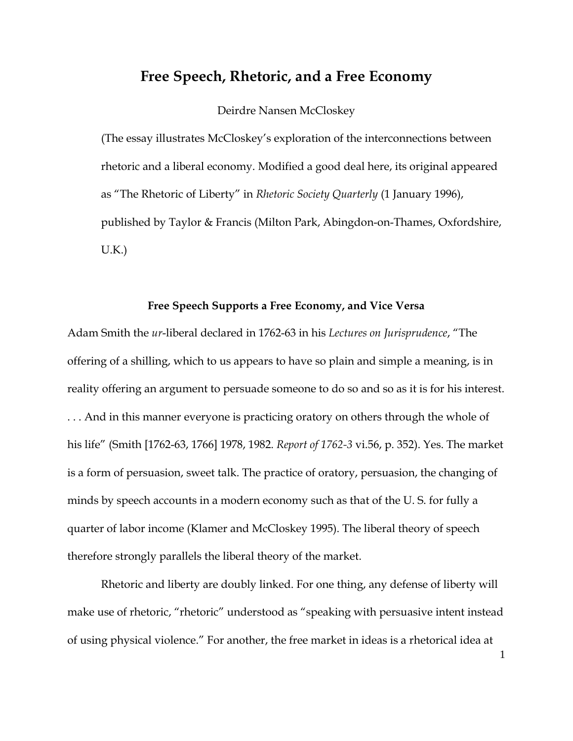# **Free Speech, Rhetoric, and a Free Economy**

Deirdre Nansen McCloskey

(The essay illustrates McCloskey's exploration of the interconnections between rhetoric and a liberal economy. Modified a good deal here, its original appeared as "The Rhetoric of Liberty" in *Rhetoric Society Quarterly* (1 January 1996), published by Taylor & Francis (Milton Park, Abingdon-on-Thames, Oxfordshire, U.K.)

## **Free Speech Supports a Free Economy, and Vice Versa**

Adam Smith the *ur*-liberal declared in 1762-63 in his *Lectures on Jurisprudence*, "The offering of a shilling, which to us appears to have so plain and simple a meaning, is in reality offering an argument to persuade someone to do so and so as it is for his interest. . . . And in this manner everyone is practicing oratory on others through the whole of his life" (Smith [1762-63, 1766] 1978, 1982. *Report of 1762-3* vi.56, p. 352). Yes. The market is a form of persuasion, sweet talk. The practice of oratory, persuasion, the changing of minds by speech accounts in a modern economy such as that of the U. S. for fully a quarter of labor income (Klamer and McCloskey 1995). The liberal theory of speech therefore strongly parallels the liberal theory of the market.

Rhetoric and liberty are doubly linked. For one thing, any defense of liberty will make use of rhetoric, "rhetoric" understood as "speaking with persuasive intent instead of using physical violence." For another, the free market in ideas is a rhetorical idea at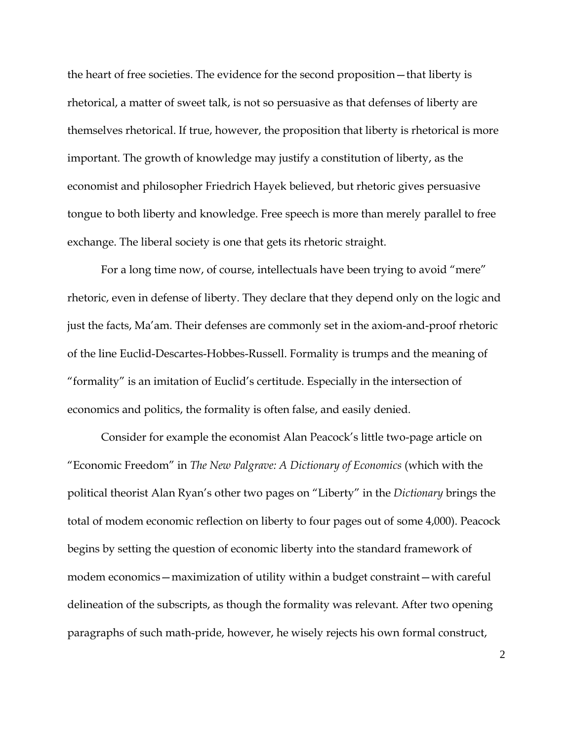the heart of free societies. The evidence for the second proposition—that liberty is rhetorical, a matter of sweet talk, is not so persuasive as that defenses of liberty are themselves rhetorical. If true, however, the proposition that liberty is rhetorical is more important. The growth of knowledge may justify a constitution of liberty, as the economist and philosopher Friedrich Hayek believed, but rhetoric gives persuasive tongue to both liberty and knowledge. Free speech is more than merely parallel to free exchange. The liberal society is one that gets its rhetoric straight.

For a long time now, of course, intellectuals have been trying to avoid "mere" rhetoric, even in defense of liberty. They declare that they depend only on the logic and just the facts, Ma'am. Their defenses are commonly set in the axiom-and-proof rhetoric of the line Euclid-Descartes-Hobbes-Russell. Formality is trumps and the meaning of "formality" is an imitation of Euclid's certitude. Especially in the intersection of economics and politics, the formality is often false, and easily denied.

Consider for example the economist Alan Peacock's little two-page article on "Economic Freedom" in *The New Palgrave: A Dictionary of Economics* (which with the political theorist Alan Ryan's other two pages on "Liberty" in the *Dictionary* brings the total of modem economic reflection on liberty to four pages out of some 4,000). Peacock begins by setting the question of economic liberty into the standard framework of modem economics—maximization of utility within a budget constraint—with careful delineation of the subscripts, as though the formality was relevant. After two opening paragraphs of such math-pride, however, he wisely rejects his own formal construct,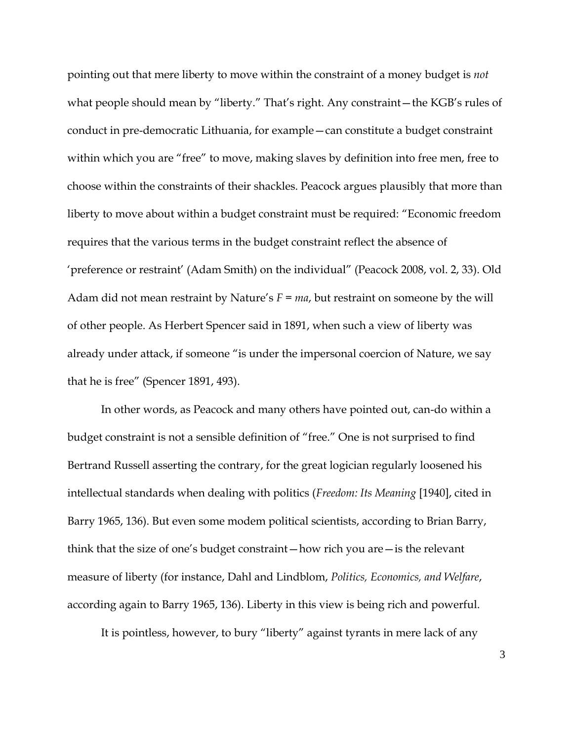pointing out that mere liberty to move within the constraint of a money budget is *not* what people should mean by "liberty." That's right. Any constraint—the KGB's rules of conduct in pre-democratic Lithuania, for example—can constitute a budget constraint within which you are "free" to move, making slaves by definition into free men, free to choose within the constraints of their shackles. Peacock argues plausibly that more than liberty to move about within a budget constraint must be required: "Economic freedom requires that the various terms in the budget constraint reflect the absence of 'preference or restraint' (Adam Smith) on the individual" (Peacock 2008, vol. 2, 33). Old Adam did not mean restraint by Nature's  $F = ma$ , but restraint on someone by the will of other people. As Herbert Spencer said in 1891, when such a view of liberty was already under attack, if someone "is under the impersonal coercion of Nature, we say that he is free" (Spencer 1891, 493).

In other words, as Peacock and many others have pointed out, can-do within a budget constraint is not a sensible definition of "free." One is not surprised to find Bertrand Russell asserting the contrary, for the great logician regularly loosened his intellectual standards when dealing with politics (*Freedom: Its Meaning* [1940], cited in Barry 1965, 136). But even some modem political scientists, according to Brian Barry, think that the size of one's budget constraint—how rich you are—is the relevant measure of liberty (for instance, Dahl and Lindblom, *Politics, Economics, and Welfare*, according again to Barry 1965, 136). Liberty in this view is being rich and powerful.

It is pointless, however, to bury "liberty" against tyrants in mere lack of any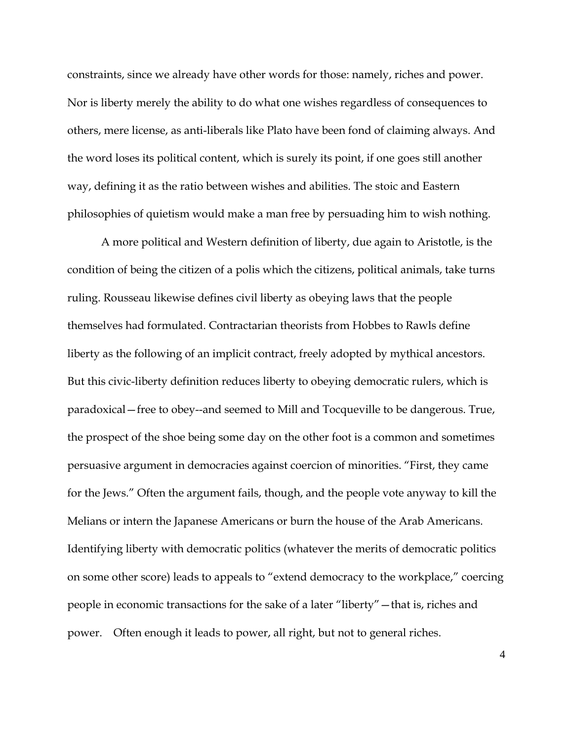constraints, since we already have other words for those: namely, riches and power. Nor is liberty merely the ability to do what one wishes regardless of consequences to others, mere license, as anti-liberals like Plato have been fond of claiming always. And the word loses its political content, which is surely its point, if one goes still another way, defining it as the ratio between wishes and abilities. The stoic and Eastern philosophies of quietism would make a man free by persuading him to wish nothing.

A more political and Western definition of liberty, due again to Aristotle, is the condition of being the citizen of a polis which the citizens, political animals, take turns ruling. Rousseau likewise defines civil liberty as obeying laws that the people themselves had formulated. Contractarian theorists from Hobbes to Rawls define liberty as the following of an implicit contract, freely adopted by mythical ancestors. But this civic-liberty definition reduces liberty to obeying democratic rulers, which is paradoxical—free to obey--and seemed to Mill and Tocqueville to be dangerous. True, the prospect of the shoe being some day on the other foot is a common and sometimes persuasive argument in democracies against coercion of minorities. "First, they came for the Jews." Often the argument fails, though, and the people vote anyway to kill the Melians or intern the Japanese Americans or burn the house of the Arab Americans. Identifying liberty with democratic politics (whatever the merits of democratic politics on some other score) leads to appeals to "extend democracy to the workplace," coercing people in economic transactions for the sake of a later "liberty"—that is, riches and power. Often enough it leads to power, all right, but not to general riches.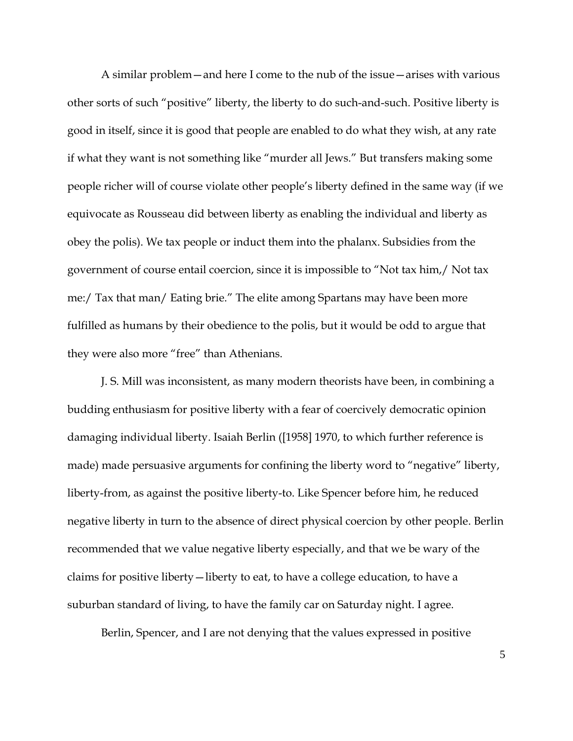A similar problem—and here I come to the nub of the issue—arises with various other sorts of such "positive" liberty, the liberty to do such-and-such. Positive liberty is good in itself, since it is good that people are enabled to do what they wish, at any rate if what they want is not something like "murder all Jews." But transfers making some people richer will of course violate other people's liberty defined in the same way (if we equivocate as Rousseau did between liberty as enabling the individual and liberty as obey the polis). We tax people or induct them into the phalanx. Subsidies from the government of course entail coercion, since it is impossible to "Not tax him,/ Not tax me:/ Tax that man/ Eating brie." The elite among Spartans may have been more fulfilled as humans by their obedience to the polis, but it would be odd to argue that they were also more "free" than Athenians.

J. S. Mill was inconsistent, as many modern theorists have been, in combining a budding enthusiasm for positive liberty with a fear of coercively democratic opinion damaging individual liberty. Isaiah Berlin ([1958] 1970, to which further reference is made) made persuasive arguments for confining the liberty word to "negative" liberty, liberty-from, as against the positive liberty-to. Like Spencer before him, he reduced negative liberty in turn to the absence of direct physical coercion by other people. Berlin recommended that we value negative liberty especially, and that we be wary of the claims for positive liberty—liberty to eat, to have a college education, to have a suburban standard of living, to have the family car on Saturday night. I agree.

Berlin, Spencer, and I are not denying that the values expressed in positive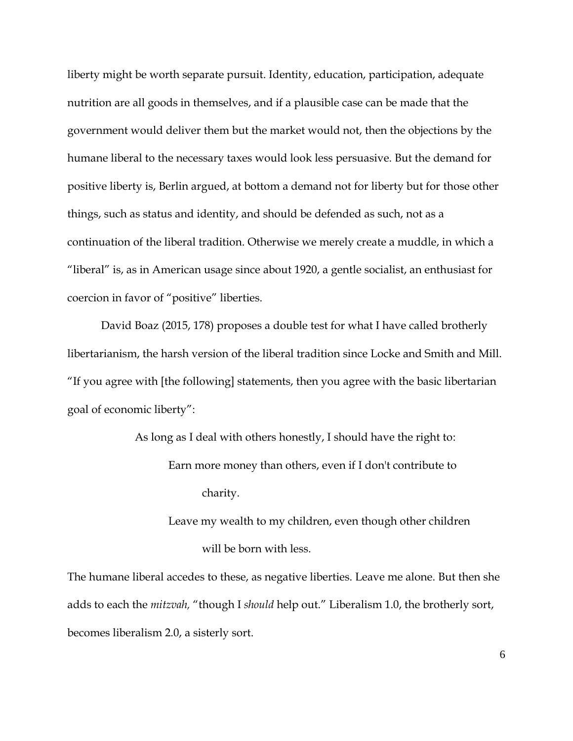liberty might be worth separate pursuit. Identity, education, participation, adequate nutrition are all goods in themselves, and if a plausible case can be made that the government would deliver them but the market would not, then the objections by the humane liberal to the necessary taxes would look less persuasive. But the demand for positive liberty is, Berlin argued, at bottom a demand not for liberty but for those other things, such as status and identity, and should be defended as such, not as a continuation of the liberal tradition. Otherwise we merely create a muddle, in which a "liberal" is, as in American usage since about 1920, a gentle socialist, an enthusiast for coercion in favor of "positive" liberties.

David Boaz (2015, 178) proposes a double test for what I have called brotherly libertarianism, the harsh version of the liberal tradition since Locke and Smith and Mill. "If you agree with [the following] statements, then you agree with the basic libertarian goal of economic liberty":

> As long as I deal with others honestly, I should have the right to: Earn more money than others, even if I don't contribute to charity.

> > Leave my wealth to my children, even though other children will be born with less.

The humane liberal accedes to these, as negative liberties. Leave me alone. But then she adds to each the *mitzvah,* "though I *should* help out." Liberalism 1.0, the brotherly sort, becomes liberalism 2.0, a sisterly sort.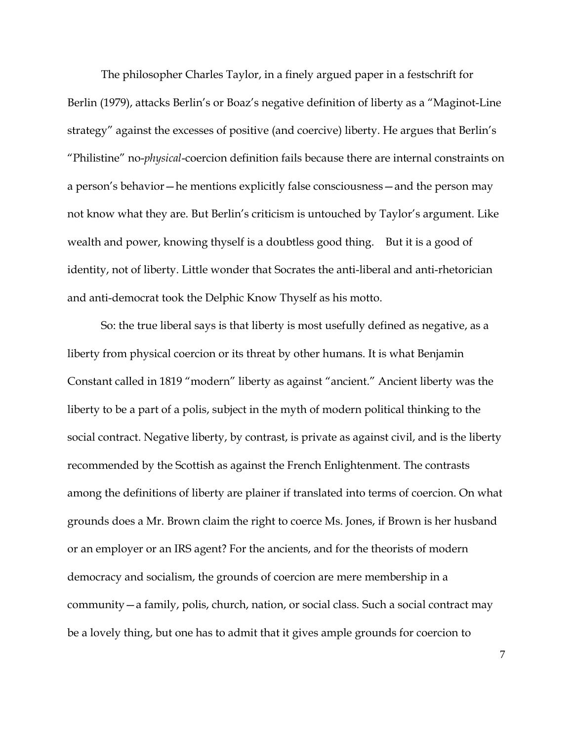The philosopher Charles Taylor, in a finely argued paper in a festschrift for Berlin (1979), attacks Berlin's or Boaz's negative definition of liberty as a "Maginot-Line strategy" against the excesses of positive (and coercive) liberty. He argues that Berlin's "Philistine" no-*physical*-coercion definition fails because there are internal constraints on a person's behavior—he mentions explicitly false consciousness—and the person may not know what they are. But Berlin's criticism is untouched by Taylor's argument. Like wealth and power, knowing thyself is a doubtless good thing. But it is a good of identity, not of liberty. Little wonder that Socrates the anti-liberal and anti-rhetorician and anti-democrat took the Delphic Know Thyself as his motto.

So: the true liberal says is that liberty is most usefully defined as negative, as a liberty from physical coercion or its threat by other humans. It is what Benjamin Constant called in 1819 "modern" liberty as against "ancient." Ancient liberty was the liberty to be a part of a polis, subject in the myth of modern political thinking to the social contract. Negative liberty, by contrast, is private as against civil, and is the liberty recommended by the Scottish as against the French Enlightenment. The contrasts among the definitions of liberty are plainer if translated into terms of coercion. On what grounds does a Mr. Brown claim the right to coerce Ms. Jones, if Brown is her husband or an employer or an IRS agent? For the ancients, and for the theorists of modern democracy and socialism, the grounds of coercion are mere membership in a community—a family, polis, church, nation, or social class. Such a social contract may be a lovely thing, but one has to admit that it gives ample grounds for coercion to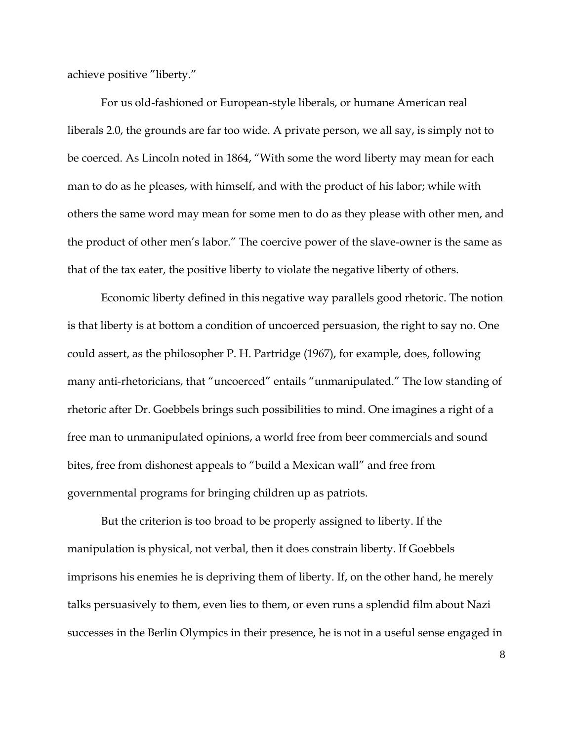achieve positive "liberty."

For us old-fashioned or European-style liberals, or humane American real liberals 2.0, the grounds are far too wide. A private person, we all say, is simply not to be coerced. As Lincoln noted in 1864, "With some the word liberty may mean for each man to do as he pleases, with himself, and with the product of his labor; while with others the same word may mean for some men to do as they please with other men, and the product of other men's labor." The coercive power of the slave-owner is the same as that of the tax eater, the positive liberty to violate the negative liberty of others.

Economic liberty defined in this negative way parallels good rhetoric. The notion is that liberty is at bottom a condition of uncoerced persuasion, the right to say no. One could assert, as the philosopher P. H. Partridge (1967), for example, does, following many anti-rhetoricians, that "uncoerced" entails "unmanipulated." The low standing of rhetoric after Dr. Goebbels brings such possibilities to mind. One imagines a right of a free man to unmanipulated opinions, a world free from beer commercials and sound bites, free from dishonest appeals to "build a Mexican wall" and free from governmental programs for bringing children up as patriots.

But the criterion is too broad to be properly assigned to liberty. If the manipulation is physical, not verbal, then it does constrain liberty. If Goebbels imprisons his enemies he is depriving them of liberty. If, on the other hand, he merely talks persuasively to them, even lies to them, or even runs a splendid film about Nazi successes in the Berlin Olympics in their presence, he is not in a useful sense engaged in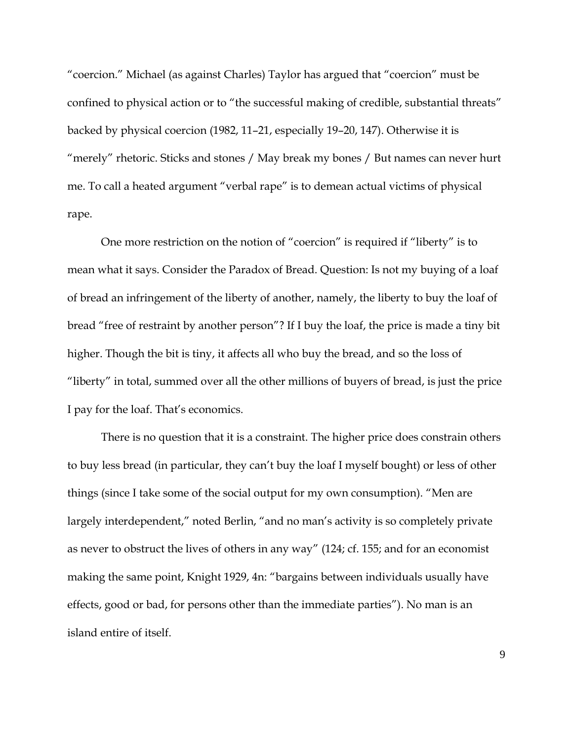"coercion." Michael (as against Charles) Taylor has argued that "coercion" must be confined to physical action or to "the successful making of credible, substantial threats" backed by physical coercion (1982, 11–21, especially 19–20, 147). Otherwise it is "merely" rhetoric. Sticks and stones / May break my bones / But names can never hurt me. To call a heated argument "verbal rape" is to demean actual victims of physical rape.

One more restriction on the notion of "coercion" is required if "liberty" is to mean what it says. Consider the Paradox of Bread. Question: Is not my buying of a loaf of bread an infringement of the liberty of another, namely, the liberty to buy the loaf of bread "free of restraint by another person"? If I buy the loaf, the price is made a tiny bit higher. Though the bit is tiny, it affects all who buy the bread, and so the loss of "liberty" in total, summed over all the other millions of buyers of bread, is just the price I pay for the loaf. That's economics.

There is no question that it is a constraint. The higher price does constrain others to buy less bread (in particular, they can't buy the loaf I myself bought) or less of other things (since I take some of the social output for my own consumption). "Men are largely interdependent," noted Berlin, "and no man's activity is so completely private as never to obstruct the lives of others in any way" (124; cf. 155; and for an economist making the same point, Knight 1929, 4n: "bargains between individuals usually have effects, good or bad, for persons other than the immediate parties"). No man is an island entire of itself.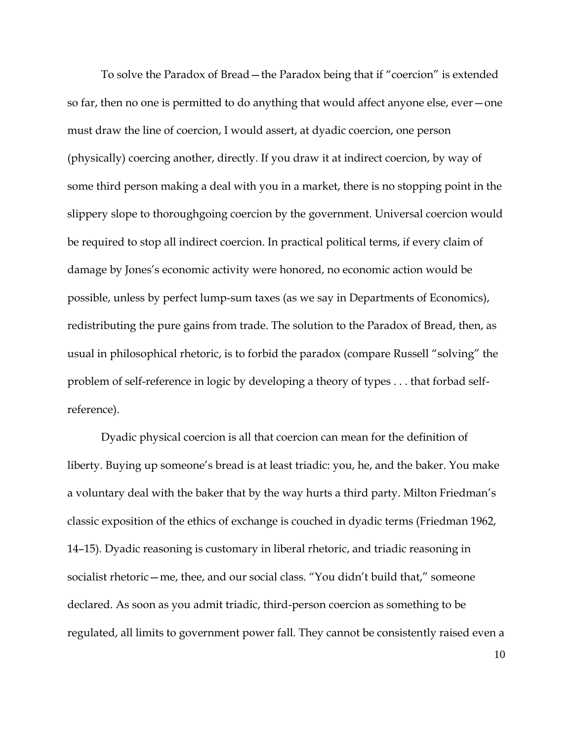To solve the Paradox of Bread—the Paradox being that if "coercion" is extended so far, then no one is permitted to do anything that would affect anyone else, ever—one must draw the line of coercion, I would assert, at dyadic coercion, one person (physically) coercing another, directly. If you draw it at indirect coercion, by way of some third person making a deal with you in a market, there is no stopping point in the slippery slope to thoroughgoing coercion by the government. Universal coercion would be required to stop all indirect coercion. In practical political terms, if every claim of damage by Jones's economic activity were honored, no economic action would be possible, unless by perfect lump-sum taxes (as we say in Departments of Economics), redistributing the pure gains from trade. The solution to the Paradox of Bread, then, as usual in philosophical rhetoric, is to forbid the paradox (compare Russell "solving" the problem of self-reference in logic by developing a theory of types . . . that forbad selfreference).

Dyadic physical coercion is all that coercion can mean for the definition of liberty. Buying up someone's bread is at least triadic: you, he, and the baker. You make a voluntary deal with the baker that by the way hurts a third party. Milton Friedman's classic exposition of the ethics of exchange is couched in dyadic terms (Friedman 1962, 14–15). Dyadic reasoning is customary in liberal rhetoric, and triadic reasoning in socialist rhetoric—me, thee, and our social class. "You didn't build that," someone declared. As soon as you admit triadic, third-person coercion as something to be regulated, all limits to government power fall. They cannot be consistently raised even a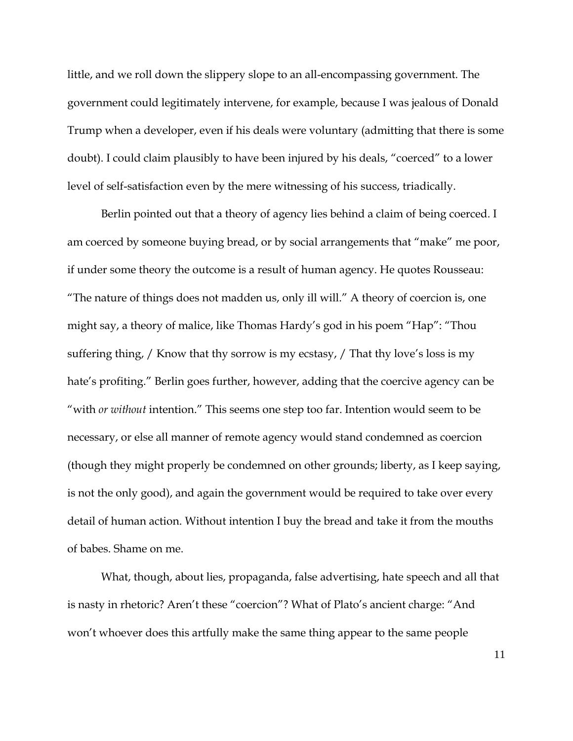little, and we roll down the slippery slope to an all-encompassing government. The government could legitimately intervene, for example, because I was jealous of Donald Trump when a developer, even if his deals were voluntary (admitting that there is some doubt). I could claim plausibly to have been injured by his deals, "coerced" to a lower level of self-satisfaction even by the mere witnessing of his success, triadically.

Berlin pointed out that a theory of agency lies behind a claim of being coerced. I am coerced by someone buying bread, or by social arrangements that "make" me poor, if under some theory the outcome is a result of human agency. He quotes Rousseau: "The nature of things does not madden us, only ill will." A theory of coercion is, one might say, a theory of malice, like Thomas Hardy's god in his poem "Hap": "Thou suffering thing, / Know that thy sorrow is my ecstasy, / That thy love's loss is my hate's profiting." Berlin goes further, however, adding that the coercive agency can be "with *or without* intention." This seems one step too far. Intention would seem to be necessary, or else all manner of remote agency would stand condemned as coercion (though they might properly be condemned on other grounds; liberty, as I keep saying, is not the only good), and again the government would be required to take over every detail of human action. Without intention I buy the bread and take it from the mouths of babes. Shame on me.

What, though, about lies, propaganda, false advertising, hate speech and all that is nasty in rhetoric? Aren't these "coercion"? What of Plato's ancient charge: "And won't whoever does this artfully make the same thing appear to the same people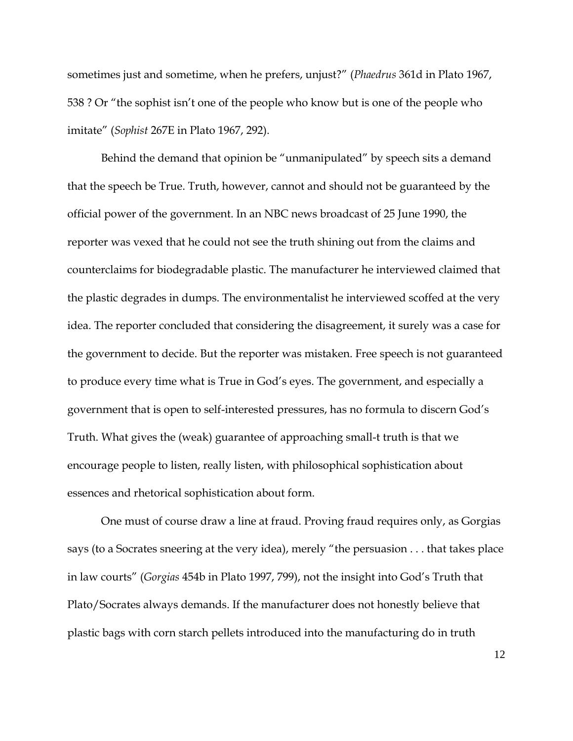sometimes just and sometime, when he prefers, unjust?" (*Phaedrus* 361d in Plato 1967, 538 ? Or "the sophist isn't one of the people who know but is one of the people who imitate" (*Sophist* 267E in Plato 1967, 292).

Behind the demand that opinion be "unmanipulated" by speech sits a demand that the speech be True. Truth, however, cannot and should not be guaranteed by the official power of the government. In an NBC news broadcast of 25 June 1990, the reporter was vexed that he could not see the truth shining out from the claims and counterclaims for biodegradable plastic. The manufacturer he interviewed claimed that the plastic degrades in dumps. The environmentalist he interviewed scoffed at the very idea. The reporter concluded that considering the disagreement, it surely was a case for the government to decide. But the reporter was mistaken. Free speech is not guaranteed to produce every time what is True in God's eyes. The government, and especially a government that is open to self-interested pressures, has no formula to discern God's Truth. What gives the (weak) guarantee of approaching small-t truth is that we encourage people to listen, really listen, with philosophical sophistication about essences and rhetorical sophistication about form.

One must of course draw a line at fraud. Proving fraud requires only, as Gorgias says (to a Socrates sneering at the very idea), merely "the persuasion . . . that takes place in law courts" (*Gorgias* 454b in Plato 1997, 799), not the insight into God's Truth that Plato/Socrates always demands. If the manufacturer does not honestly believe that plastic bags with corn starch pellets introduced into the manufacturing do in truth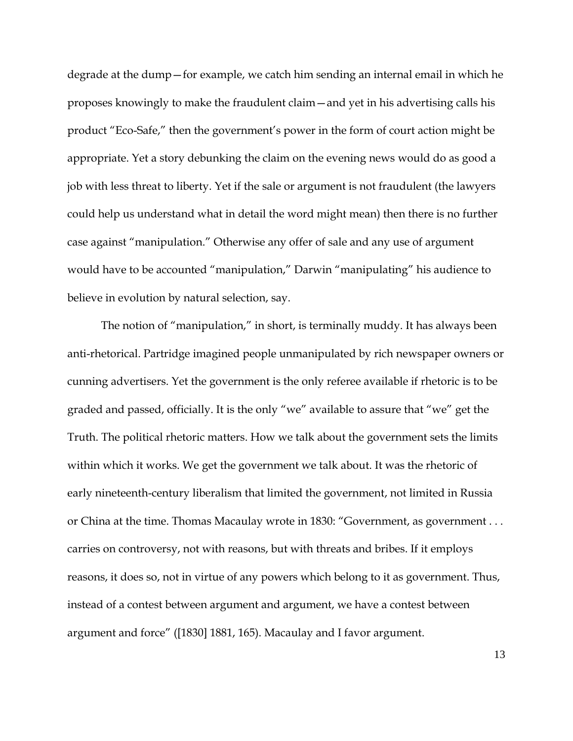degrade at the dump—for example, we catch him sending an internal email in which he proposes knowingly to make the fraudulent claim—and yet in his advertising calls his product "Eco-Safe," then the government's power in the form of court action might be appropriate. Yet a story debunking the claim on the evening news would do as good a job with less threat to liberty. Yet if the sale or argument is not fraudulent (the lawyers could help us understand what in detail the word might mean) then there is no further case against "manipulation." Otherwise any offer of sale and any use of argument would have to be accounted "manipulation," Darwin "manipulating" his audience to believe in evolution by natural selection, say.

The notion of "manipulation," in short, is terminally muddy. It has always been anti-rhetorical. Partridge imagined people unmanipulated by rich newspaper owners or cunning advertisers. Yet the government is the only referee available if rhetoric is to be graded and passed, officially. It is the only "we" available to assure that "we" get the Truth. The political rhetoric matters. How we talk about the government sets the limits within which it works. We get the government we talk about. It was the rhetoric of early nineteenth-century liberalism that limited the government, not limited in Russia or China at the time. Thomas Macaulay wrote in 1830: "Government, as government . . . carries on controversy, not with reasons, but with threats and bribes. If it employs reasons, it does so, not in virtue of any powers which belong to it as government. Thus, instead of a contest between argument and argument, we have a contest between argument and force" ([1830] 1881, 165). Macaulay and I favor argument.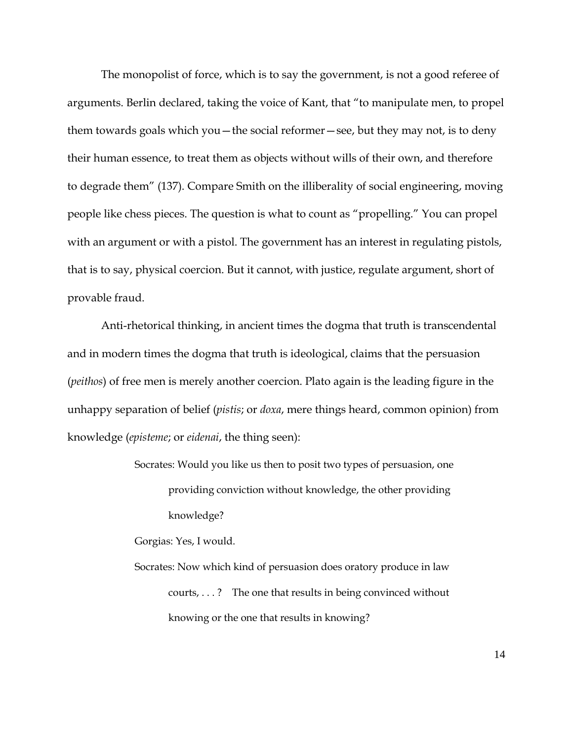The monopolist of force, which is to say the government, is not a good referee of arguments. Berlin declared, taking the voice of Kant, that "to manipulate men, to propel them towards goals which you—the social reformer—see, but they may not, is to deny their human essence, to treat them as objects without wills of their own, and therefore to degrade them" (137). Compare Smith on the illiberality of social engineering, moving people like chess pieces. The question is what to count as "propelling." You can propel with an argument or with a pistol. The government has an interest in regulating pistols, that is to say, physical coercion. But it cannot, with justice, regulate argument, short of provable fraud.

Anti-rhetorical thinking, in ancient times the dogma that truth is transcendental and in modern times the dogma that truth is ideological, claims that the persuasion (*peithos*) of free men is merely another coercion. Plato again is the leading figure in the unhappy separation of belief (*pistis*; or *doxa*, mere things heard, common opinion) from knowledge (*episteme*; or *eidenai*, the thing seen):

> Socrates: Would you like us then to posit two types of persuasion, one providing conviction without knowledge, the other providing knowledge?

Gorgias: Yes, I would.

Socrates: Now which kind of persuasion does oratory produce in law courts, . . . ? The one that results in being convinced without knowing or the one that results in knowing?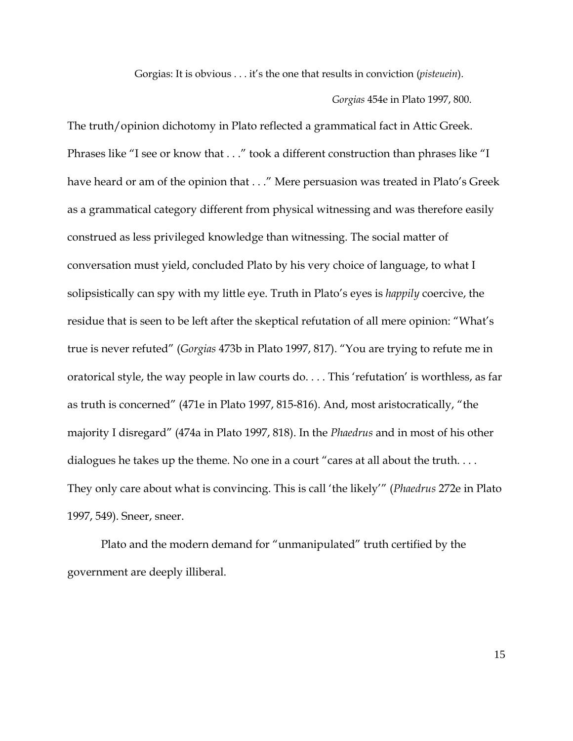Gorgias: It is obvious . . . it's the one that results in conviction (*pisteuein*).

## *Gorgias* 454e in Plato 1997, 800.

The truth/opinion dichotomy in Plato reflected a grammatical fact in Attic Greek. Phrases like "I see or know that . . ." took a different construction than phrases like "I have heard or am of the opinion that . . ." Mere persuasion was treated in Plato's Greek as a grammatical category different from physical witnessing and was therefore easily construed as less privileged knowledge than witnessing. The social matter of conversation must yield, concluded Plato by his very choice of language, to what I solipsistically can spy with my little eye. Truth in Plato's eyes is *happily* coercive, the residue that is seen to be left after the skeptical refutation of all mere opinion: "What's true is never refuted" (*Gorgias* 473b in Plato 1997, 817). "You are trying to refute me in oratorical style, the way people in law courts do. . . . This 'refutation' is worthless, as far as truth is concerned" (471e in Plato 1997, 815-816). And, most aristocratically, "the majority I disregard" (474a in Plato 1997, 818). In the *Phaedrus* and in most of his other dialogues he takes up the theme. No one in a court "cares at all about the truth.... They only care about what is convincing. This is call 'the likely'" (*Phaedrus* 272e in Plato 1997, 549). Sneer, sneer.

Plato and the modern demand for "unmanipulated" truth certified by the government are deeply illiberal.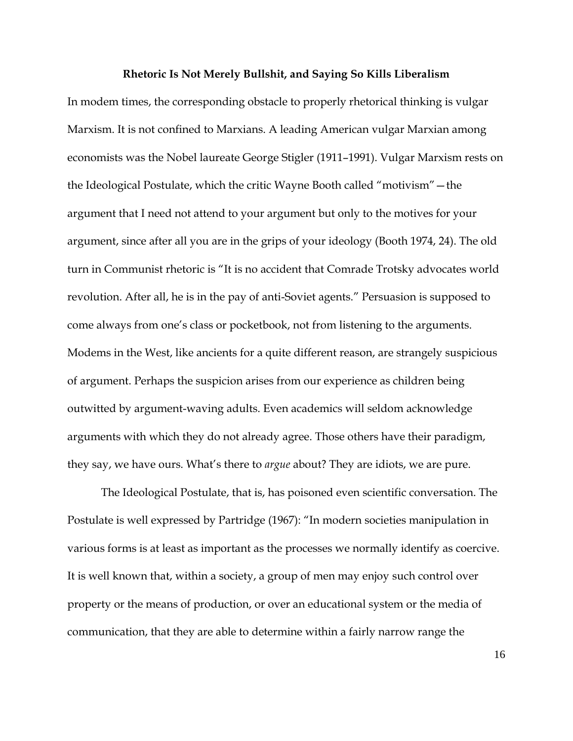### **Rhetoric Is Not Merely Bullshit, and Saying So Kills Liberalism**

In modem times, the corresponding obstacle to properly rhetorical thinking is vulgar Marxism. It is not confined to Marxians. A leading American vulgar Marxian among economists was the Nobel laureate George Stigler (1911–1991). Vulgar Marxism rests on the Ideological Postulate, which the critic Wayne Booth called "motivism"—the argument that I need not attend to your argument but only to the motives for your argument, since after all you are in the grips of your ideology (Booth 1974, 24). The old turn in Communist rhetoric is "It is no accident that Comrade Trotsky advocates world revolution. After all, he is in the pay of anti-Soviet agents." Persuasion is supposed to come always from one's class or pocketbook, not from listening to the arguments. Modems in the West, like ancients for a quite different reason, are strangely suspicious of argument. Perhaps the suspicion arises from our experience as children being outwitted by argument-waving adults. Even academics will seldom acknowledge arguments with which they do not already agree. Those others have their paradigm, they say, we have ours. What's there to *argue* about? They are idiots, we are pure.

The Ideological Postulate, that is, has poisoned even scientific conversation. The Postulate is well expressed by Partridge (1967): "In modern societies manipulation in various forms is at least as important as the processes we normally identify as coercive. It is well known that, within a society, a group of men may enjoy such control over property or the means of production, or over an educational system or the media of communication, that they are able to determine within a fairly narrow range the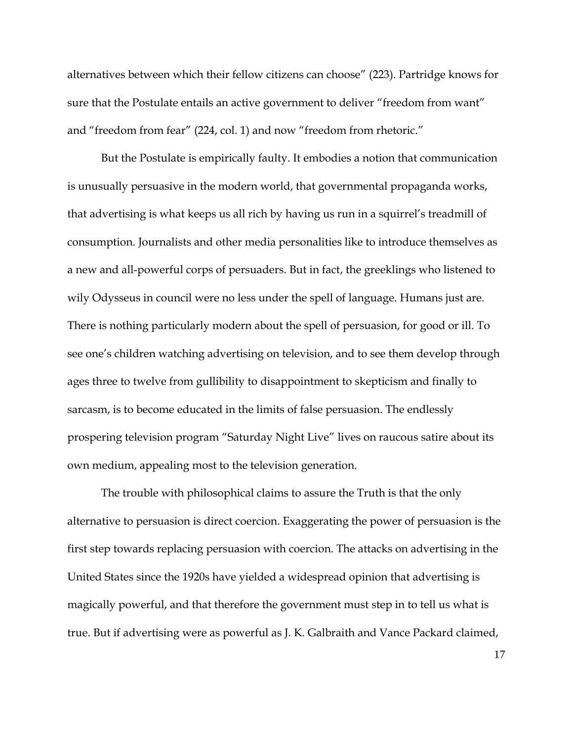alternatives between which their fellow citizens can choose" (223). Partridge knows for sure that the Postulate entails an active government to deliver "freedom from want" and "freedom from fear" (224, col. 1) and now "freedom from rhetoric."

But the Postulate is empirically faulty. It embodies a notion that communication is unusually persuasive in the modern world, that governmental propaganda works, that advertising is what keeps us all rich by having us run in a squirrel's treadmill of consumption. Journalists and other media personalities like to introduce themselves as a new and all-powerful corps of persuaders. But in fact, the greeklings who listened to wily Odysseus in council were no less under the spell of language. Humans just are. There is nothing particularly modern about the spell of persuasion, for good or ill. To see one's children watching advertising on television, and to see them develop through ages three to twelve from gullibility to disappointment to skepticism and finally to sarcasm, is to become educated in the limits of false persuasion. The endlessly prospering television program "Saturday Night Live" lives on raucous satire about its own medium, appealing most to the television generation.

The trouble with philosophical claims to assure the Truth is that the only alternative to persuasion is direct coercion. Exaggerating the power of persuasion is the first step towards replacing persuasion with coercion. The attacks on advertising in the United States since the 1920s have yielded a widespread opinion that advertising is magically powerful, and that therefore the government must step in to tell us what is true. But if advertising were as powerful as J. K. Galbraith and Vance Packard claimed,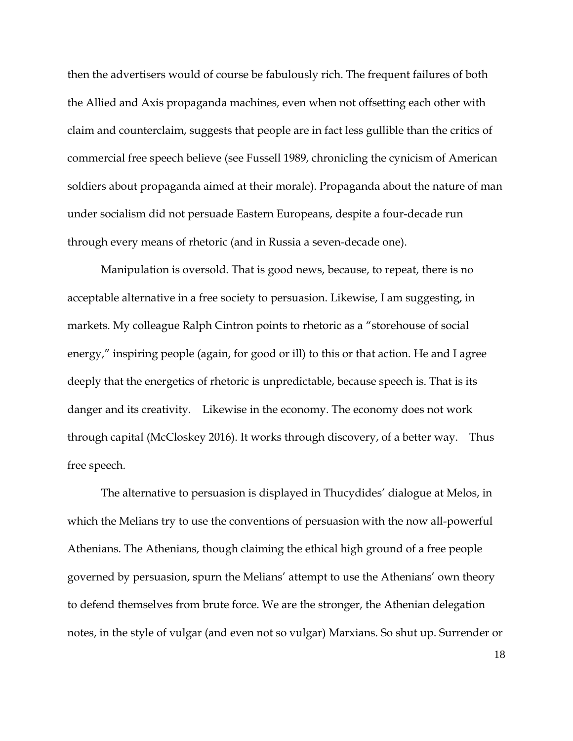then the advertisers would of course be fabulously rich. The frequent failures of both the Allied and Axis propaganda machines, even when not offsetting each other with claim and counterclaim, suggests that people are in fact less gullible than the critics of commercial free speech believe (see Fussell 1989, chronicling the cynicism of American soldiers about propaganda aimed at their morale). Propaganda about the nature of man under socialism did not persuade Eastern Europeans, despite a four-decade run through every means of rhetoric (and in Russia a seven-decade one).

Manipulation is oversold. That is good news, because, to repeat, there is no acceptable alternative in a free society to persuasion. Likewise, I am suggesting, in markets. My colleague Ralph Cintron points to rhetoric as a "storehouse of social energy," inspiring people (again, for good or ill) to this or that action. He and I agree deeply that the energetics of rhetoric is unpredictable, because speech is. That is its danger and its creativity. Likewise in the economy. The economy does not work through capital (McCloskey 2016). It works through discovery, of a better way. Thus free speech.

The alternative to persuasion is displayed in Thucydides' dialogue at Melos, in which the Melians try to use the conventions of persuasion with the now all-powerful Athenians. The Athenians, though claiming the ethical high ground of a free people governed by persuasion, spurn the Melians' attempt to use the Athenians' own theory to defend themselves from brute force. We are the stronger, the Athenian delegation notes, in the style of vulgar (and even not so vulgar) Marxians. So shut up. Surrender or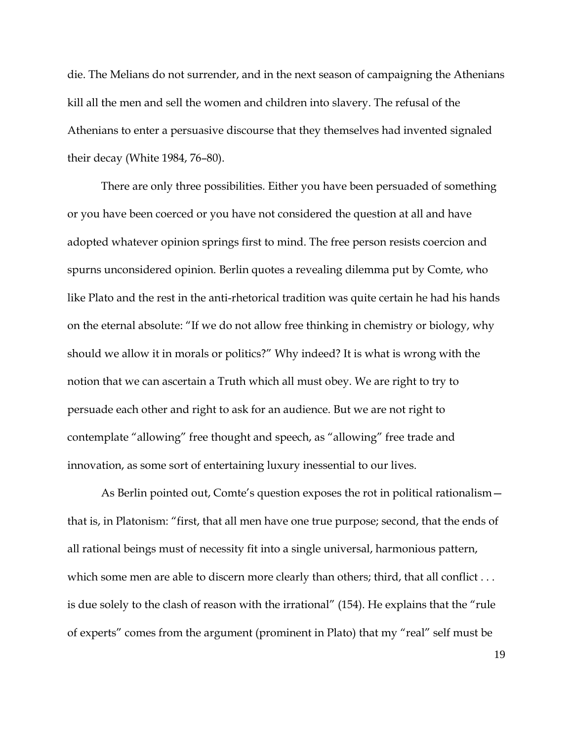die. The Melians do not surrender, and in the next season of campaigning the Athenians kill all the men and sell the women and children into slavery. The refusal of the Athenians to enter a persuasive discourse that they themselves had invented signaled their decay (White 1984, 76–80).

There are only three possibilities. Either you have been persuaded of something or you have been coerced or you have not considered the question at all and have adopted whatever opinion springs first to mind. The free person resists coercion and spurns unconsidered opinion. Berlin quotes a revealing dilemma put by Comte, who like Plato and the rest in the anti-rhetorical tradition was quite certain he had his hands on the eternal absolute: "If we do not allow free thinking in chemistry or biology, why should we allow it in morals or politics?" Why indeed? It is what is wrong with the notion that we can ascertain a Truth which all must obey. We are right to try to persuade each other and right to ask for an audience. But we are not right to contemplate "allowing" free thought and speech, as "allowing" free trade and innovation, as some sort of entertaining luxury inessential to our lives.

As Berlin pointed out, Comte's question exposes the rot in political rationalism that is, in Platonism: "first, that all men have one true purpose; second, that the ends of all rational beings must of necessity fit into a single universal, harmonious pattern, which some men are able to discern more clearly than others; third, that all conflict . . . is due solely to the clash of reason with the irrational" (154). He explains that the "rule of experts" comes from the argument (prominent in Plato) that my "real" self must be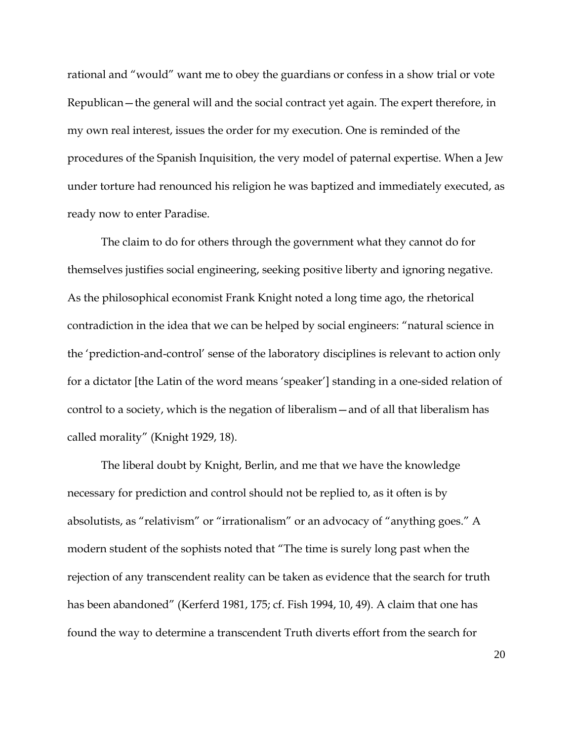rational and "would" want me to obey the guardians or confess in a show trial or vote Republican—the general will and the social contract yet again. The expert therefore, in my own real interest, issues the order for my execution. One is reminded of the procedures of the Spanish Inquisition, the very model of paternal expertise. When a Jew under torture had renounced his religion he was baptized and immediately executed, as ready now to enter Paradise.

The claim to do for others through the government what they cannot do for themselves justifies social engineering, seeking positive liberty and ignoring negative. As the philosophical economist Frank Knight noted a long time ago, the rhetorical contradiction in the idea that we can be helped by social engineers: "natural science in the 'prediction-and-control' sense of the laboratory disciplines is relevant to action only for a dictator [the Latin of the word means 'speaker'] standing in a one-sided relation of control to a society, which is the negation of liberalism—and of all that liberalism has called morality" (Knight 1929, 18).

The liberal doubt by Knight, Berlin, and me that we have the knowledge necessary for prediction and control should not be replied to, as it often is by absolutists, as "relativism" or "irrationalism" or an advocacy of "anything goes." A modern student of the sophists noted that "The time is surely long past when the rejection of any transcendent reality can be taken as evidence that the search for truth has been abandoned" (Kerferd 1981, 175; cf. Fish 1994, 10, 49). A claim that one has found the way to determine a transcendent Truth diverts effort from the search for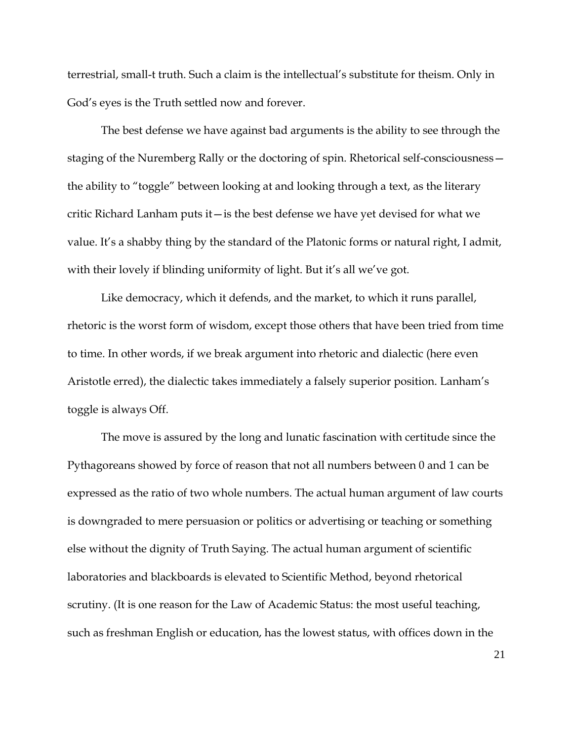terrestrial, small-t truth. Such a claim is the intellectual's substitute for theism. Only in God's eyes is the Truth settled now and forever.

The best defense we have against bad arguments is the ability to see through the staging of the Nuremberg Rally or the doctoring of spin. Rhetorical self-consciousness the ability to "toggle" between looking at and looking through a text, as the literary critic Richard Lanham puts it—is the best defense we have yet devised for what we value. It's a shabby thing by the standard of the Platonic forms or natural right, I admit, with their lovely if blinding uniformity of light. But it's all we've got.

Like democracy, which it defends, and the market, to which it runs parallel, rhetoric is the worst form of wisdom, except those others that have been tried from time to time. In other words, if we break argument into rhetoric and dialectic (here even Aristotle erred), the dialectic takes immediately a falsely superior position. Lanham's toggle is always Off.

The move is assured by the long and lunatic fascination with certitude since the Pythagoreans showed by force of reason that not all numbers between 0 and 1 can be expressed as the ratio of two whole numbers. The actual human argument of law courts is downgraded to mere persuasion or politics or advertising or teaching or something else without the dignity of Truth Saying. The actual human argument of scientific laboratories and blackboards is elevated to Scientific Method, beyond rhetorical scrutiny. (It is one reason for the Law of Academic Status: the most useful teaching, such as freshman English or education, has the lowest status, with offices down in the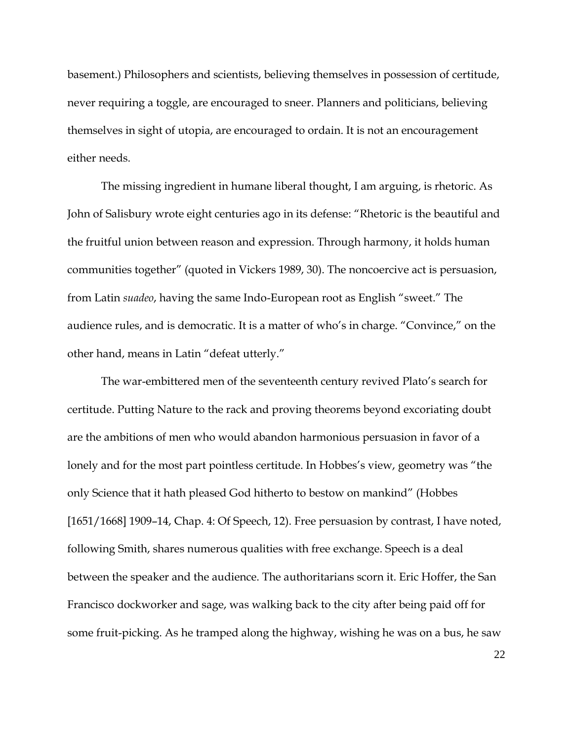basement.) Philosophers and scientists, believing themselves in possession of certitude, never requiring a toggle, are encouraged to sneer. Planners and politicians, believing themselves in sight of utopia, are encouraged to ordain. It is not an encouragement either needs.

The missing ingredient in humane liberal thought, I am arguing, is rhetoric. As John of Salisbury wrote eight centuries ago in its defense: "Rhetoric is the beautiful and the fruitful union between reason and expression. Through harmony, it holds human communities together" (quoted in Vickers 1989, 30). The noncoercive act is persuasion, from Latin *suadeo*, having the same Indo-European root as English "sweet." The audience rules, and is democratic. It is a matter of who's in charge. "Convince," on the other hand, means in Latin "defeat utterly."

The war-embittered men of the seventeenth century revived Plato's search for certitude. Putting Nature to the rack and proving theorems beyond excoriating doubt are the ambitions of men who would abandon harmonious persuasion in favor of a lonely and for the most part pointless certitude. In Hobbes's view, geometry was "the only Science that it hath pleased God hitherto to bestow on mankind" (Hobbes [1651/1668] 1909–14, Chap. 4: Of Speech, 12). Free persuasion by contrast, I have noted, following Smith, shares numerous qualities with free exchange. Speech is a deal between the speaker and the audience. The authoritarians scorn it. Eric Hoffer, the San Francisco dockworker and sage, was walking back to the city after being paid off for some fruit-picking. As he tramped along the highway, wishing he was on a bus, he saw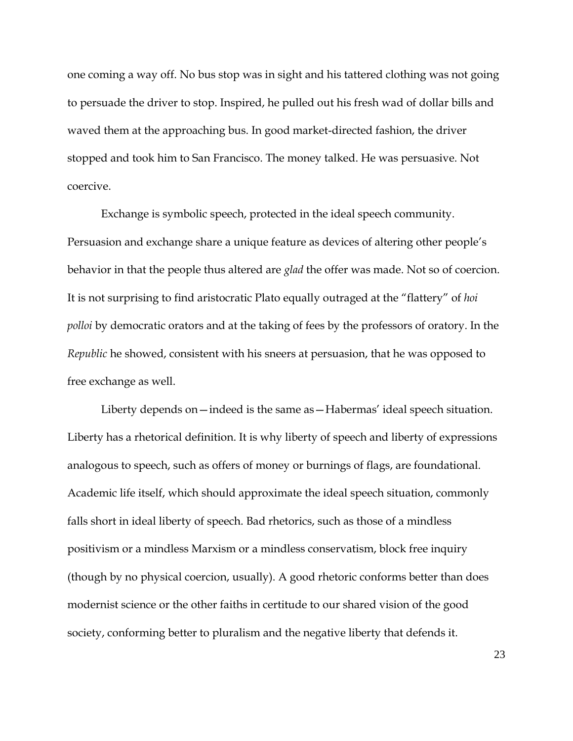one coming a way off. No bus stop was in sight and his tattered clothing was not going to persuade the driver to stop. Inspired, he pulled out his fresh wad of dollar bills and waved them at the approaching bus. In good market-directed fashion, the driver stopped and took him to San Francisco. The money talked. He was persuasive. Not coercive.

Exchange is symbolic speech, protected in the ideal speech community. Persuasion and exchange share a unique feature as devices of altering other people's behavior in that the people thus altered are *glad* the offer was made. Not so of coercion. It is not surprising to find aristocratic Plato equally outraged at the "flattery" of *hoi polloi* by democratic orators and at the taking of fees by the professors of oratory. In the *Republic* he showed, consistent with his sneers at persuasion, that he was opposed to free exchange as well.

Liberty depends on—indeed is the same as—Habermas' ideal speech situation. Liberty has a rhetorical definition. It is why liberty of speech and liberty of expressions analogous to speech, such as offers of money or burnings of flags, are foundational. Academic life itself, which should approximate the ideal speech situation, commonly falls short in ideal liberty of speech. Bad rhetorics, such as those of a mindless positivism or a mindless Marxism or a mindless conservatism, block free inquiry (though by no physical coercion, usually). A good rhetoric conforms better than does modernist science or the other faiths in certitude to our shared vision of the good society, conforming better to pluralism and the negative liberty that defends it.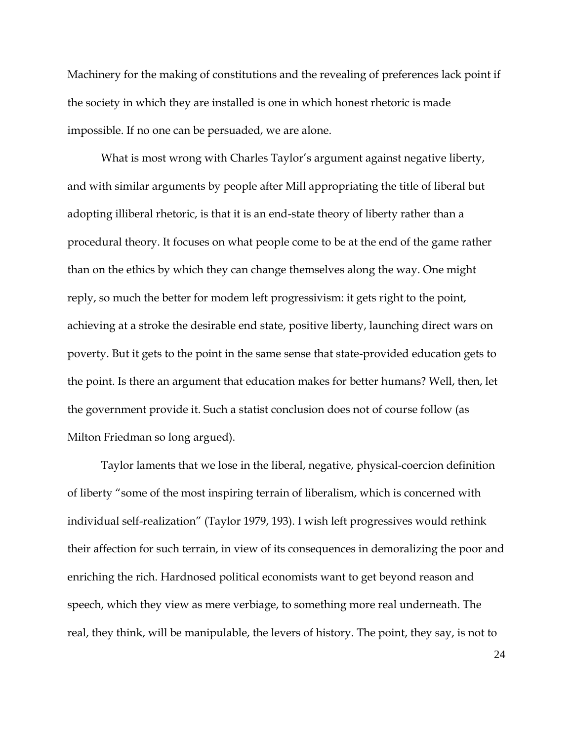Machinery for the making of constitutions and the revealing of preferences lack point if the society in which they are installed is one in which honest rhetoric is made impossible. If no one can be persuaded, we are alone.

What is most wrong with Charles Taylor's argument against negative liberty, and with similar arguments by people after Mill appropriating the title of liberal but adopting illiberal rhetoric, is that it is an end-state theory of liberty rather than a procedural theory. It focuses on what people come to be at the end of the game rather than on the ethics by which they can change themselves along the way. One might reply, so much the better for modem left progressivism: it gets right to the point, achieving at a stroke the desirable end state, positive liberty, launching direct wars on poverty. But it gets to the point in the same sense that state-provided education gets to the point. Is there an argument that education makes for better humans? Well, then, let the government provide it. Such a statist conclusion does not of course follow (as Milton Friedman so long argued).

Taylor laments that we lose in the liberal, negative, physical-coercion definition of liberty "some of the most inspiring terrain of liberalism, which is concerned with individual self-realization" (Taylor 1979, 193). I wish left progressives would rethink their affection for such terrain, in view of its consequences in demoralizing the poor and enriching the rich. Hardnosed political economists want to get beyond reason and speech, which they view as mere verbiage, to something more real underneath. The real, they think, will be manipulable, the levers of history. The point, they say, is not to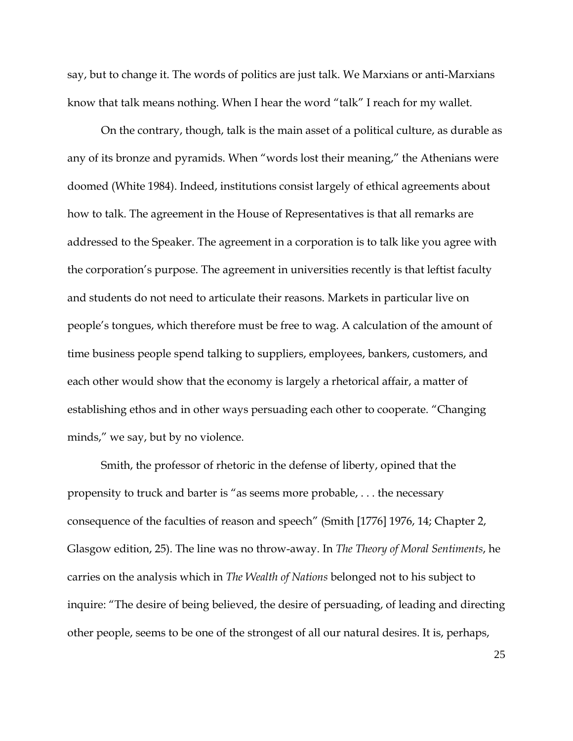say, but to change it. The words of politics are just talk. We Marxians or anti-Marxians know that talk means nothing. When I hear the word "talk" I reach for my wallet.

On the contrary, though, talk is the main asset of a political culture, as durable as any of its bronze and pyramids. When "words lost their meaning," the Athenians were doomed (White 1984). Indeed, institutions consist largely of ethical agreements about how to talk. The agreement in the House of Representatives is that all remarks are addressed to the Speaker. The agreement in a corporation is to talk like you agree with the corporation's purpose. The agreement in universities recently is that leftist faculty and students do not need to articulate their reasons. Markets in particular live on people's tongues, which therefore must be free to wag. A calculation of the amount of time business people spend talking to suppliers, employees, bankers, customers, and each other would show that the economy is largely a rhetorical affair, a matter of establishing ethos and in other ways persuading each other to cooperate. "Changing minds," we say, but by no violence.

Smith, the professor of rhetoric in the defense of liberty, opined that the propensity to truck and barter is "as seems more probable, . . . the necessary consequence of the faculties of reason and speech" (Smith [1776] 1976, 14; Chapter 2, Glasgow edition, 25). The line was no throw-away. In *The Theory of Moral Sentiments*, he carries on the analysis which in *The Wealth of Nations* belonged not to his subject to inquire: "The desire of being believed, the desire of persuading, of leading and directing other people, seems to be one of the strongest of all our natural desires. It is, perhaps,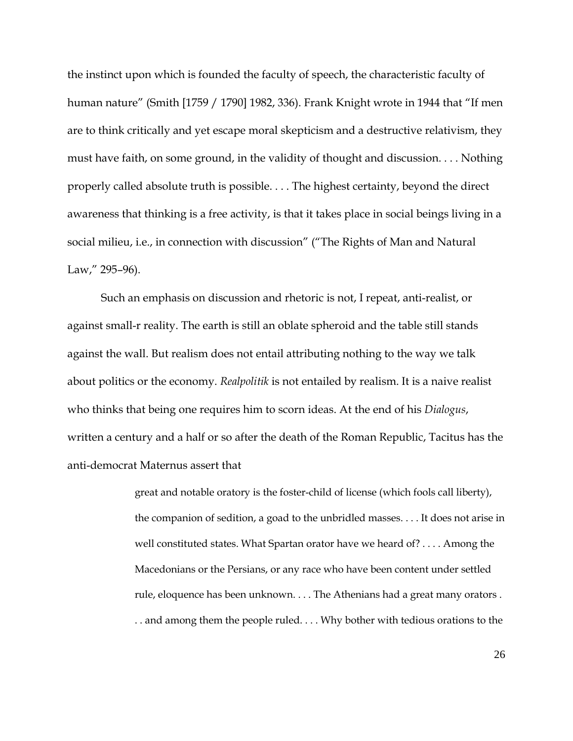the instinct upon which is founded the faculty of speech, the characteristic faculty of human nature" (Smith [1759 / 1790] 1982, 336). Frank Knight wrote in 1944 that "If men are to think critically and yet escape moral skepticism and a destructive relativism, they must have faith, on some ground, in the validity of thought and discussion. . . . Nothing properly called absolute truth is possible. . . . The highest certainty, beyond the direct awareness that thinking is a free activity, is that it takes place in social beings living in a social milieu, i.e., in connection with discussion" ("The Rights of Man and Natural Law," 295–96).

Such an emphasis on discussion and rhetoric is not, I repeat, anti-realist, or against small-r reality. The earth is still an oblate spheroid and the table still stands against the wall. But realism does not entail attributing nothing to the way we talk about politics or the economy. *Realpolitik* is not entailed by realism. It is a naive realist who thinks that being one requires him to scorn ideas. At the end of his *Dialogus*, written a century and a half or so after the death of the Roman Republic, Tacitus has the anti-democrat Maternus assert that

> great and notable oratory is the foster-child of license (which fools call liberty), the companion of sedition, a goad to the unbridled masses. . . . It does not arise in well constituted states. What Spartan orator have we heard of? . . . . Among the Macedonians or the Persians, or any race who have been content under settled rule, eloquence has been unknown. . . . The Athenians had a great many orators . . . and among them the people ruled. . . . Why bother with tedious orations to the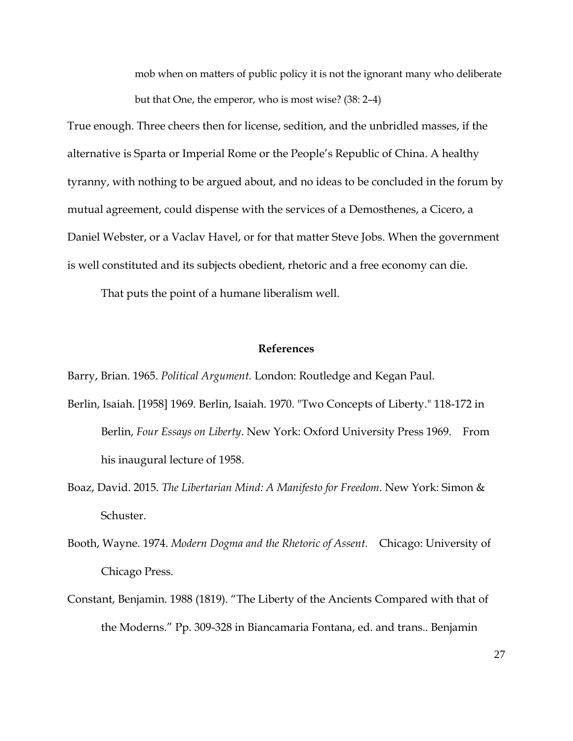mob when on matters of public policy it is not the ignorant many who deliberate but that One, the emperor, who is most wise? (38: 2–4)

True enough. Three cheers then for license, sedition, and the unbridled masses, if the alternative is Sparta or Imperial Rome or the People's Republic of China. A healthy tyranny, with nothing to be argued about, and no ideas to be concluded in the forum by mutual agreement, could dispense with the services of a Demosthenes, a Cicero, a Daniel Webster, or a Vaclav Havel, or for that matter Steve Jobs. When the government is well constituted and its subjects obedient, rhetoric and a free economy can die.

That puts the point of a humane liberalism well.

### **References**

Barry, Brian. 1965. *Political Argument.* London: Routledge and Kegan Paul.

- Berlin, Isaiah. [1958] 1969. Berlin, Isaiah. 1970. "Two Concepts of Liberty." 118-172 in Berlin, *Four Essays on Liberty*. New York: Oxford University Press 1969. From his inaugural lecture of 1958.
- Boaz, David. 2015. *The Libertarian Mind: A Manifesto for Freedom*. New York: Simon & Schuster.
- Booth, Wayne. 1974. *Modern Dogma and the Rhetoric of Assent.* Chicago: University of Chicago Press.
- Constant, Benjamin. 1988 (1819). "The Liberty of the Ancients Compared with that of the Moderns." Pp. 309-328 in Biancamaria Fontana, ed. and trans.. Benjamin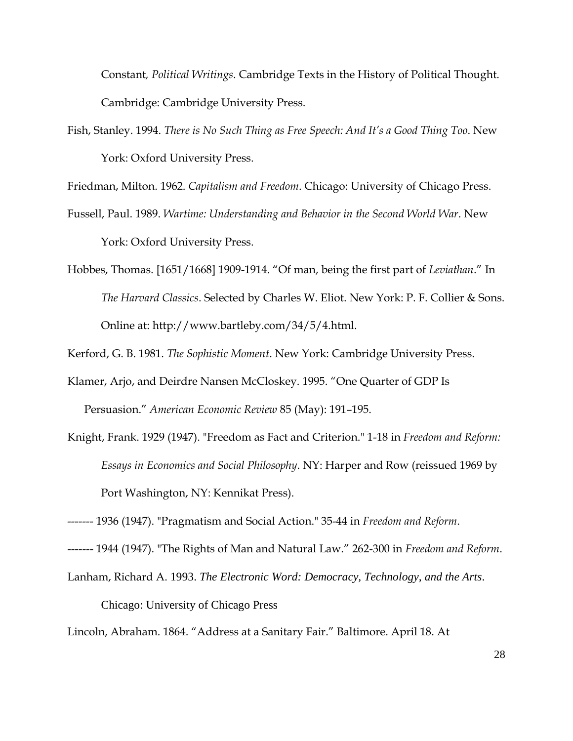Constant*, Political Writings*. Cambridge Texts in the History of Political Thought. Cambridge: Cambridge University Press.

Fish, Stanley. 1994. *There is No Such Thing as Free Speech: And It's a Good Thing Too*. New York: Oxford University Press.

Friedman, Milton. 1962. *Capitalism and Freedom*. Chicago: University of Chicago Press.

- Fussell, Paul. 1989. *Wartime: Understanding and Behavior in the Second World War*. New York: Oxford University Press.
- Hobbes, Thomas. [1651/1668] 1909-1914. "Of man, being the first part of *Leviathan*." In *The Harvard Classics*. Selected by Charles W. Eliot. New York: P. F. Collier & Sons. Online at: http://www.bartleby.com/34/5/4.html.

Kerford, G. B. 1981. *The Sophistic Moment*. New York: Cambridge University Press.

- Klamer, Arjo, and Deirdre Nansen McCloskey. 1995. "One Quarter of GDP Is Persuasion." *American Economic Review* 85 (May): 191–195.
- Knight, Frank. 1929 (1947). "Freedom as Fact and Criterion." 1-18 in *Freedom and Reform: Essays in Economics and Social Philosophy*. NY: Harper and Row (reissued 1969 by Port Washington, NY: Kennikat Press).

------- 1936 (1947). "Pragmatism and Social Action." 35-44 in *Freedom and Reform*.

- ------- 1944 (1947). "The Rights of Man and Natural Law." 262-300 in *Freedom and Reform*.
- Lanham, Richard A. 1993. *The Electronic Word: Democracy, Technology, and the Arts*.

Chicago: University of Chicago Press

Lincoln, Abraham. 1864. "Address at a Sanitary Fair." Baltimore. April 18. At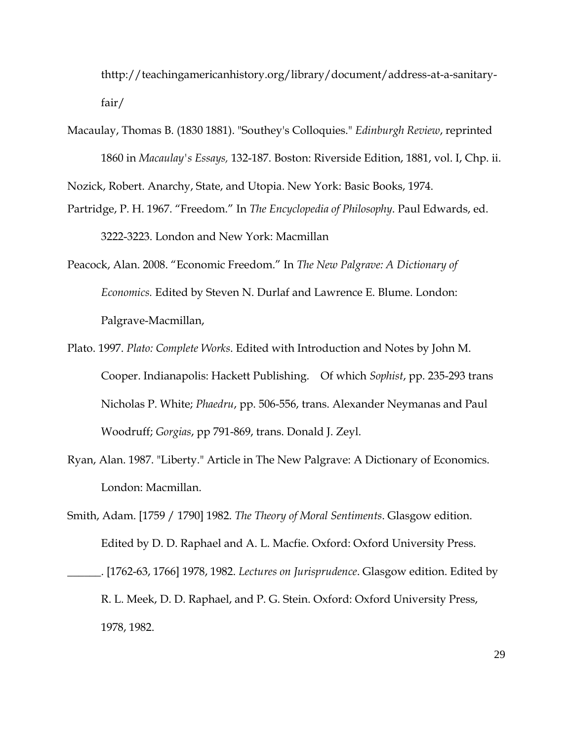[thttp://teachingamericanhistory.org/library/document/address-at-a-sanitary](http://teachingamericanhistory.org/library/document/address-at-a-sanitary-fair/)[fair/](http://teachingamericanhistory.org/library/document/address-at-a-sanitary-fair/)

Macaulay, Thomas B. (1830 1881). "Southey's Colloquies." *Edinburgh Review*, reprinted 1860 in *Macaulay's Essays,* 132-187. Boston: Riverside Edition, 1881, vol. I, Chp. ii.

Nozick, Robert. Anarchy, State, and Utopia. New York: Basic Books, 1974.

- Partridge, P. H. 1967. "Freedom." In *The Encyclopedia of Philosophy*. Paul Edwards, ed. 3222-3223. London and New York: Macmillan
- Peacock, Alan. 2008. "Economic Freedom." In *The New Palgrave: A Dictionary of Economics.* Edited by Steven N. Durlaf and Lawrence E. Blume. London: Palgrave-Macmillan,
- Plato. 1997. *Plato: Complete Works*. Edited with Introduction and Notes by John M. Cooper. Indianapolis: Hackett Publishing. Of which *Sophist*, pp. 235-293 trans Nicholas P. White; *Phaedru*, pp. 506-556, trans. Alexander Neymanas and Paul Woodruff; *Gorgias*, pp 791-869, trans. Donald J. Zeyl.
- Ryan, Alan. 1987. "Liberty." Article in The New Palgrave: A Dictionary of Economics. London: Macmillan.

Smith, Adam. [1759 / 1790] 1982. *The Theory of Moral Sentiments*. Glasgow edition. Edited by D. D. Raphael and A. L. Macfie. Oxford: Oxford University Press. \_\_\_\_\_\_. [1762-63, 1766] 1978, 1982. *Lectures on Jurisprudence*. Glasgow edition. Edited by R. L. Meek, D. D. Raphael, and P. G. Stein. Oxford: Oxford University Press, 1978, 1982.